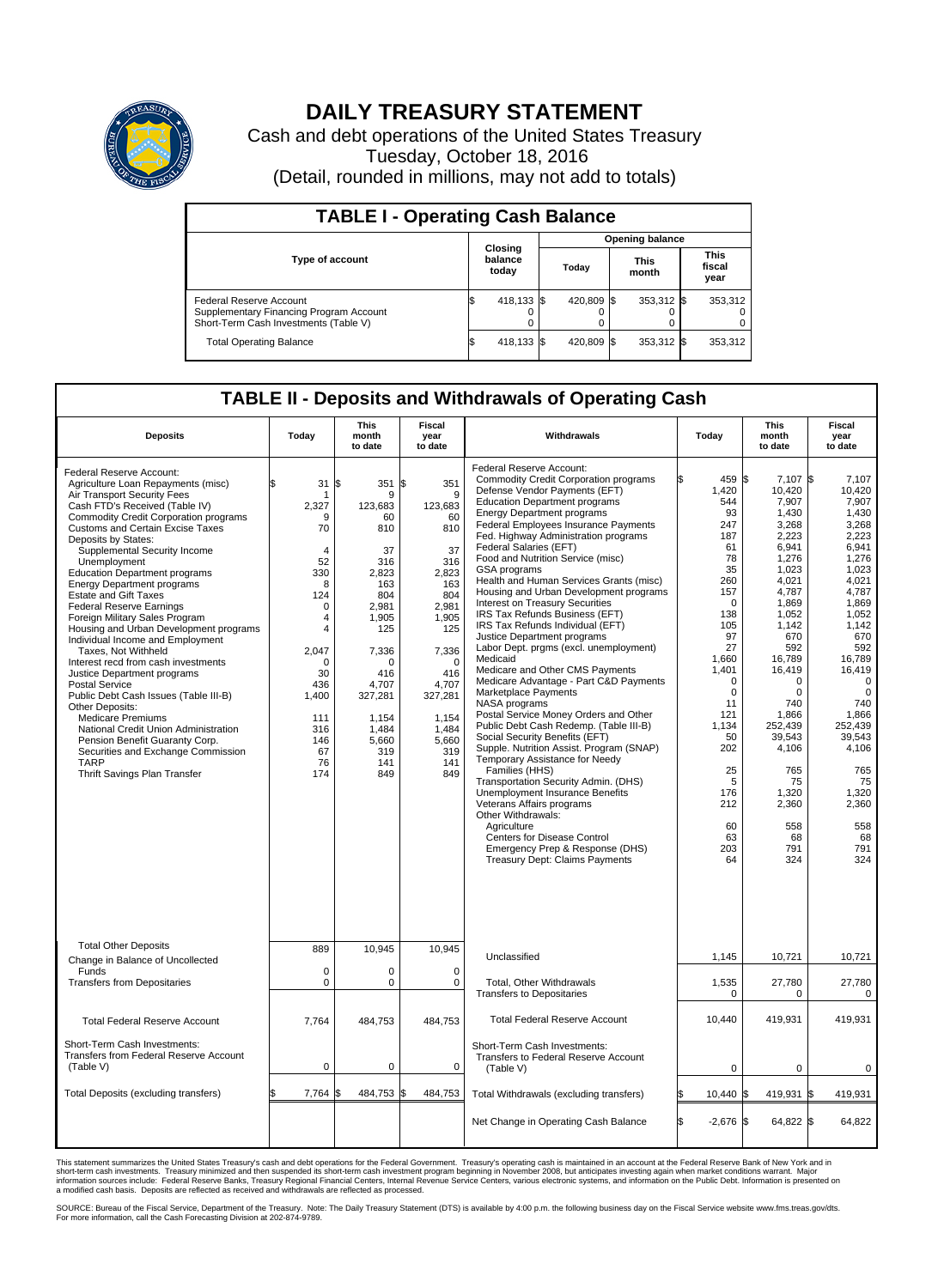

## **DAILY TREASURY STATEMENT**

Cash and debt operations of the United States Treasury Tuesday, October 18, 2016 (Detail, rounded in millions, may not add to totals)

| <b>TABLE I - Operating Cash Balance</b>                                                                     |                             |            |       |                        |                      |              |                               |         |  |  |  |
|-------------------------------------------------------------------------------------------------------------|-----------------------------|------------|-------|------------------------|----------------------|--------------|-------------------------------|---------|--|--|--|
|                                                                                                             |                             |            |       | <b>Opening balance</b> |                      |              |                               |         |  |  |  |
| <b>Type of account</b>                                                                                      | Closing<br>balance<br>today |            | Today |                        | <b>This</b><br>month |              | <b>This</b><br>fiscal<br>year |         |  |  |  |
| Federal Reserve Account<br>Supplementary Financing Program Account<br>Short-Term Cash Investments (Table V) |                             | 418.133 \$ |       | 420.809 \$             |                      | $353,312$ \$ |                               | 353,312 |  |  |  |
| <b>Total Operating Balance</b>                                                                              |                             | 418,133 \$ |       | 420.809 \$             |                      | 353,312 \$   |                               | 353,312 |  |  |  |

## **TABLE II - Deposits and Withdrawals of Operating Cash**

| <b>Deposits</b>                                                                                                                                                                                                                                                                                                                                                                                                                                                                                                                                                                                                                                                                                                                                                                                                                                                                                                                         | Today                                                                                                                                                                                                 | <b>This</b><br>month<br>to date                                                                                                                                                                     | <b>Fiscal</b><br>year<br>to date                                                                                                                                                                    | Withdrawals                                                                                                                                                                                                                                                                                                                                                                                                                                                                                                                                                                                                                                                                                                                                                                                                                                                                                                                                                                                                                                                                                                                                                                                                                                 | Today                                                                                                                                                                                                                                    | <b>This</b><br>month<br>to date                                                                                                                                                                                                                                                                     | <b>Fiscal</b><br>year<br>to date                                                                                                                                                                                                                                                                    |
|-----------------------------------------------------------------------------------------------------------------------------------------------------------------------------------------------------------------------------------------------------------------------------------------------------------------------------------------------------------------------------------------------------------------------------------------------------------------------------------------------------------------------------------------------------------------------------------------------------------------------------------------------------------------------------------------------------------------------------------------------------------------------------------------------------------------------------------------------------------------------------------------------------------------------------------------|-------------------------------------------------------------------------------------------------------------------------------------------------------------------------------------------------------|-----------------------------------------------------------------------------------------------------------------------------------------------------------------------------------------------------|-----------------------------------------------------------------------------------------------------------------------------------------------------------------------------------------------------|---------------------------------------------------------------------------------------------------------------------------------------------------------------------------------------------------------------------------------------------------------------------------------------------------------------------------------------------------------------------------------------------------------------------------------------------------------------------------------------------------------------------------------------------------------------------------------------------------------------------------------------------------------------------------------------------------------------------------------------------------------------------------------------------------------------------------------------------------------------------------------------------------------------------------------------------------------------------------------------------------------------------------------------------------------------------------------------------------------------------------------------------------------------------------------------------------------------------------------------------|------------------------------------------------------------------------------------------------------------------------------------------------------------------------------------------------------------------------------------------|-----------------------------------------------------------------------------------------------------------------------------------------------------------------------------------------------------------------------------------------------------------------------------------------------------|-----------------------------------------------------------------------------------------------------------------------------------------------------------------------------------------------------------------------------------------------------------------------------------------------------|
| Federal Reserve Account:<br>Agriculture Loan Repayments (misc)<br>Air Transport Security Fees<br>Cash FTD's Received (Table IV)<br><b>Commodity Credit Corporation programs</b><br><b>Customs and Certain Excise Taxes</b><br>Deposits by States:<br>Supplemental Security Income<br>Unemployment<br><b>Education Department programs</b><br><b>Energy Department programs</b><br><b>Estate and Gift Taxes</b><br><b>Federal Reserve Earnings</b><br>Foreign Military Sales Program<br>Housing and Urban Development programs<br>Individual Income and Employment<br>Taxes, Not Withheld<br>Interest recd from cash investments<br>Justice Department programs<br><b>Postal Service</b><br>Public Debt Cash Issues (Table III-B)<br>Other Deposits:<br><b>Medicare Premiums</b><br>National Credit Union Administration<br>Pension Benefit Guaranty Corp.<br>Securities and Exchange Commission<br>TARP<br>Thrift Savings Plan Transfer | 31<br>\$<br>1<br>2,327<br>9<br>70<br>$\overline{4}$<br>52<br>330<br>8<br>124<br>$\mathbf 0$<br>4<br>$\overline{4}$<br>2,047<br>$\Omega$<br>30<br>436<br>1,400<br>111<br>316<br>146<br>67<br>76<br>174 | \$<br>351<br>9<br>123,683<br>60<br>810<br>37<br>316<br>2,823<br>163<br>804<br>2,981<br>1,905<br>125<br>7,336<br>$\Omega$<br>416<br>4,707<br>327,281<br>1,154<br>1,484<br>5,660<br>319<br>141<br>849 | \$<br>351<br>9<br>123,683<br>60<br>810<br>37<br>316<br>2,823<br>163<br>804<br>2,981<br>1,905<br>125<br>7,336<br>$\Omega$<br>416<br>4,707<br>327,281<br>1,154<br>1,484<br>5,660<br>319<br>141<br>849 | Federal Reserve Account:<br><b>Commodity Credit Corporation programs</b><br>Defense Vendor Payments (EFT)<br><b>Education Department programs</b><br><b>Energy Department programs</b><br><b>Federal Employees Insurance Payments</b><br>Fed. Highway Administration programs<br>Federal Salaries (EFT)<br>Food and Nutrition Service (misc)<br>GSA programs<br>Health and Human Services Grants (misc)<br>Housing and Urban Development programs<br>Interest on Treasury Securities<br>IRS Tax Refunds Business (EFT)<br>IRS Tax Refunds Individual (EFT)<br>Justice Department programs<br>Labor Dept. prgms (excl. unemployment)<br>Medicaid<br>Medicare and Other CMS Payments<br>Medicare Advantage - Part C&D Payments<br>Marketplace Payments<br>NASA programs<br>Postal Service Money Orders and Other<br>Public Debt Cash Redemp. (Table III-B)<br>Social Security Benefits (EFT)<br>Supple. Nutrition Assist. Program (SNAP)<br>Temporary Assistance for Needy<br>Families (HHS)<br>Transportation Security Admin. (DHS)<br>Unemployment Insurance Benefits<br>Veterans Affairs programs<br>Other Withdrawals:<br>Agriculture<br>Centers for Disease Control<br>Emergency Prep & Response (DHS)<br>Treasury Dept: Claims Payments | 459 \$<br>1,420<br>544<br>93<br>247<br>187<br>61<br>78<br>35<br>260<br>157<br>$\Omega$<br>138<br>105<br>97<br>27<br>1,660<br>1,401<br>$\Omega$<br>0<br>11<br>121<br>1,134<br>50<br>202<br>25<br>5<br>176<br>212<br>60<br>63<br>203<br>64 | 7,107 \$<br>10,420<br>7,907<br>1,430<br>3,268<br>2,223<br>6,941<br>1,276<br>1,023<br>4,021<br>4,787<br>1.869<br>1,052<br>1,142<br>670<br>592<br>16,789<br>16,419<br>$\Omega$<br>$\mathbf 0$<br>740<br>1,866<br>252,439<br>39,543<br>4,106<br>765<br>75<br>1,320<br>2,360<br>558<br>68<br>791<br>324 | 7.107<br>10,420<br>7,907<br>1,430<br>3,268<br>2,223<br>6,941<br>1,276<br>1,023<br>4,021<br>4,787<br>1,869<br>1,052<br>1,142<br>670<br>592<br>16,789<br>16,419<br>$\mathbf 0$<br>$\mathbf 0$<br>740<br>1,866<br>252,439<br>39,543<br>4,106<br>765<br>75<br>1,320<br>2,360<br>558<br>68<br>791<br>324 |
| <b>Total Other Deposits</b><br>Change in Balance of Uncollected                                                                                                                                                                                                                                                                                                                                                                                                                                                                                                                                                                                                                                                                                                                                                                                                                                                                         | 889                                                                                                                                                                                                   | 10,945                                                                                                                                                                                              | 10.945                                                                                                                                                                                              | Unclassified                                                                                                                                                                                                                                                                                                                                                                                                                                                                                                                                                                                                                                                                                                                                                                                                                                                                                                                                                                                                                                                                                                                                                                                                                                | 1,145                                                                                                                                                                                                                                    | 10,721                                                                                                                                                                                                                                                                                              | 10,721                                                                                                                                                                                                                                                                                              |
| Funds<br><b>Transfers from Depositaries</b>                                                                                                                                                                                                                                                                                                                                                                                                                                                                                                                                                                                                                                                                                                                                                                                                                                                                                             | $\mathbf 0$<br>$\mathbf 0$                                                                                                                                                                            | 0<br>0                                                                                                                                                                                              | 0<br>$\mathbf 0$                                                                                                                                                                                    | <b>Total, Other Withdrawals</b><br><b>Transfers to Depositaries</b>                                                                                                                                                                                                                                                                                                                                                                                                                                                                                                                                                                                                                                                                                                                                                                                                                                                                                                                                                                                                                                                                                                                                                                         | 1,535<br>0                                                                                                                                                                                                                               | 27,780<br>$\Omega$                                                                                                                                                                                                                                                                                  | 27,780<br>0                                                                                                                                                                                                                                                                                         |
| <b>Total Federal Reserve Account</b>                                                                                                                                                                                                                                                                                                                                                                                                                                                                                                                                                                                                                                                                                                                                                                                                                                                                                                    | 7,764                                                                                                                                                                                                 | 484,753                                                                                                                                                                                             | 484,753                                                                                                                                                                                             | <b>Total Federal Reserve Account</b>                                                                                                                                                                                                                                                                                                                                                                                                                                                                                                                                                                                                                                                                                                                                                                                                                                                                                                                                                                                                                                                                                                                                                                                                        | 10.440                                                                                                                                                                                                                                   | 419.931                                                                                                                                                                                                                                                                                             | 419.931                                                                                                                                                                                                                                                                                             |
| Short-Term Cash Investments:<br>Transfers from Federal Reserve Account<br>(Table V)                                                                                                                                                                                                                                                                                                                                                                                                                                                                                                                                                                                                                                                                                                                                                                                                                                                     | 0                                                                                                                                                                                                     | 0                                                                                                                                                                                                   | 0                                                                                                                                                                                                   | Short-Term Cash Investments:<br>Transfers to Federal Reserve Account<br>(Table V)                                                                                                                                                                                                                                                                                                                                                                                                                                                                                                                                                                                                                                                                                                                                                                                                                                                                                                                                                                                                                                                                                                                                                           | 0                                                                                                                                                                                                                                        | 0                                                                                                                                                                                                                                                                                                   | 0                                                                                                                                                                                                                                                                                                   |
| Total Deposits (excluding transfers)                                                                                                                                                                                                                                                                                                                                                                                                                                                                                                                                                                                                                                                                                                                                                                                                                                                                                                    | 7,764<br>\$                                                                                                                                                                                           | 484,753<br>\$                                                                                                                                                                                       | 484,753<br>\$                                                                                                                                                                                       | Total Withdrawals (excluding transfers)                                                                                                                                                                                                                                                                                                                                                                                                                                                                                                                                                                                                                                                                                                                                                                                                                                                                                                                                                                                                                                                                                                                                                                                                     | 10,440 \$                                                                                                                                                                                                                                | 419,931                                                                                                                                                                                                                                                                                             | 1\$<br>419,931                                                                                                                                                                                                                                                                                      |
|                                                                                                                                                                                                                                                                                                                                                                                                                                                                                                                                                                                                                                                                                                                                                                                                                                                                                                                                         |                                                                                                                                                                                                       |                                                                                                                                                                                                     |                                                                                                                                                                                                     | Net Change in Operating Cash Balance                                                                                                                                                                                                                                                                                                                                                                                                                                                                                                                                                                                                                                                                                                                                                                                                                                                                                                                                                                                                                                                                                                                                                                                                        | Ŝ.<br>$-2,676$ \$                                                                                                                                                                                                                        | 64,822 \$                                                                                                                                                                                                                                                                                           | 64,822                                                                                                                                                                                                                                                                                              |

This statement summarizes the United States Treasury's cash and debt operations for the Federal Government. Treasury's operating cash is maintained in an account at the Federal Reserve Bank of New York and in<br>short-term ca

SOURCE: Bureau of the Fiscal Service, Department of the Treasury. Note: The Daily Treasury Statement (DTS) is available by 4:00 p.m. the following business day on the Fiscal Service website www.fms.treas.gov/dts.<br>For more